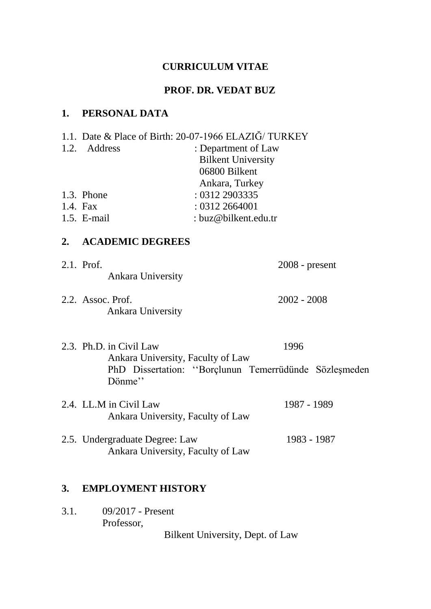## **CURRICULUM VITAE**

## **PROF. DR. VEDAT BUZ**

## **1. PERSONAL DATA**

|          | 1.2. Address                                                            | 1.1. Date & Place of Birth: 20-07-1966 ELAZIĞ/ TURKEY<br>: Department of Law<br><b>Bilkent University</b><br>06800 Bilkent<br>Ankara, Turkey |
|----------|-------------------------------------------------------------------------|----------------------------------------------------------------------------------------------------------------------------------------------|
|          | 1.3. Phone                                                              | : 0312 2903335                                                                                                                               |
| 1.4. Fax |                                                                         | : 0312 2664001                                                                                                                               |
|          | 1.5. E-mail                                                             | : buz@bilkent.edu.tr                                                                                                                         |
| 2.       | <b>ACADEMIC DEGREES</b>                                                 |                                                                                                                                              |
|          | 2.1. Prof.<br><b>Ankara University</b>                                  | $2008$ - present                                                                                                                             |
|          | 2.2. Assoc. Prof.<br><b>Ankara University</b>                           | $2002 - 2008$                                                                                                                                |
|          | 2.3. Ph.D. in Civil Law<br>Ankara University, Faculty of Law<br>Dönme'' | 1996<br>PhD Dissertation: "Borçlunun Temerrüdünde Sözleşmeden                                                                                |
|          | 2.4. LL.M in Civil Law<br>Ankara University, Faculty of Law             | 1987 - 1989                                                                                                                                  |
|          | 2.5. Undergraduate Degree: Law<br>Ankara University, Faculty of Law     | 1983 - 1987                                                                                                                                  |
| 3.       | <b>EMPLOYMENT HISTORY</b>                                               |                                                                                                                                              |

3.1. 09/2017 - Present Professor, Bilkent University, Dept. of Law